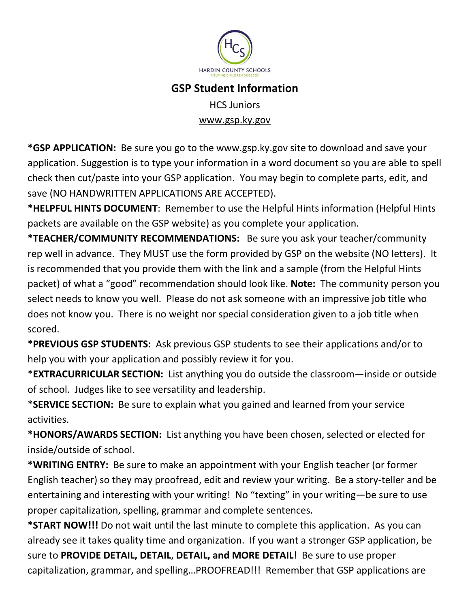

## **GSP Student Information**

HCS Juniors [www.gsp.ky.gov](http://www.gsp.ky.gov/)

**\*GSP APPLICATION:** Be sure you go to the [www.gsp.ky.gov](http://www.gsp.ky.gov/) site to download and save your application. Suggestion is to type your information in a word document so you are able to spell check then cut/paste into your GSP application. You may begin to complete parts, edit, and save (NO HANDWRITTEN APPLICATIONS ARE ACCEPTED).

**\*HELPFUL HINTS DOCUMENT**: Remember to use the Helpful Hints information (Helpful Hints packets are available on the GSP website) as you complete your application.

**\*TEACHER/COMMUNITY RECOMMENDATIONS:** Be sure you ask your teacher/community rep well in advance. They MUST use the form provided by GSP on the website (NO letters). It is recommended that you provide them with the link and a sample (from the Helpful Hints packet) of what a "good" recommendation should look like. **Note:** The community person you select needs to know you well. Please do not ask someone with an impressive job title who does not know you. There is no weight nor special consideration given to a job title when scored.

**\*PREVIOUS GSP STUDENTS:** Ask previous GSP students to see their applications and/or to help you with your application and possibly review it for you.

\***EXTRACURRICULAR SECTION:** List anything you do outside the classroom—inside or outside of school. Judges like to see versatility and leadership.

\***SERVICE SECTION:** Be sure to explain what you gained and learned from your service activities.

**\*HONORS/AWARDS SECTION:** List anything you have been chosen, selected or elected for inside/outside of school.

**\*WRITING ENTRY:** Be sure to make an appointment with your English teacher (or former English teacher) so they may proofread, edit and review your writing. Be a story-teller and be entertaining and interesting with your writing! No "texting" in your writing—be sure to use proper capitalization, spelling, grammar and complete sentences.

**\*START NOW!!!** Do not wait until the last minute to complete this application. As you can already see it takes quality time and organization. If you want a stronger GSP application, be sure to **PROVIDE DETAIL, DETAIL**, **DETAIL, and MORE DETAIL**! Be sure to use proper capitalization, grammar, and spelling…PROOFREAD!!! Remember that GSP applications are